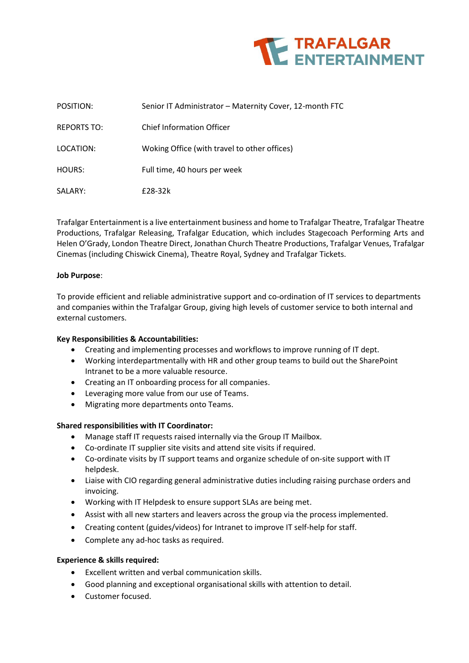

| POSITION:          | Senior IT Administrator - Maternity Cover, 12-month FTC |
|--------------------|---------------------------------------------------------|
| <b>REPORTS TO:</b> | <b>Chief Information Officer</b>                        |
| LOCATION:          | Woking Office (with travel to other offices)            |
| HOURS:             | Full time, 40 hours per week                            |
| SALARY:            | £28-32k                                                 |

Trafalgar Entertainment is a live entertainment business and home to Trafalgar Theatre, Trafalgar Theatre Productions, Trafalgar Releasing, Trafalgar Education, which includes Stagecoach Performing Arts and Helen O'Grady, London Theatre Direct, Jonathan Church Theatre Productions, Trafalgar Venues, Trafalgar Cinemas (including Chiswick Cinema), Theatre Royal, Sydney and Trafalgar Tickets.

## **Job Purpose**:

To provide efficient and reliable administrative support and co-ordination of IT services to departments and companies within the Trafalgar Group, giving high levels of customer service to both internal and external customers.

## **Key Responsibilities & Accountabilities:**

- Creating and implementing processes and workflows to improve running of IT dept.
- Working interdepartmentally with HR and other group teams to build out the SharePoint Intranet to be a more valuable resource.
- Creating an IT onboarding process for all companies.
- Leveraging more value from our use of Teams.
- Migrating more departments onto Teams.

## **Shared responsibilities with IT Coordinator:**

- Manage staff IT requests raised internally via the Group IT Mailbox.
- Co-ordinate IT supplier site visits and attend site visits if required.
- Co-ordinate visits by IT support teams and organize schedule of on-site support with IT helpdesk.
- Liaise with CIO regarding general administrative duties including raising purchase orders and invoicing.
- Working with IT Helpdesk to ensure support SLAs are being met.
- Assist with all new starters and leavers across the group via the process implemented.
- Creating content (guides/videos) for Intranet to improve IT self-help for staff.
- Complete any ad-hoc tasks as required.

## **Experience & skills required:**

- Excellent written and verbal communication skills.
- Good planning and exceptional organisational skills with attention to detail.
- Customer focused.